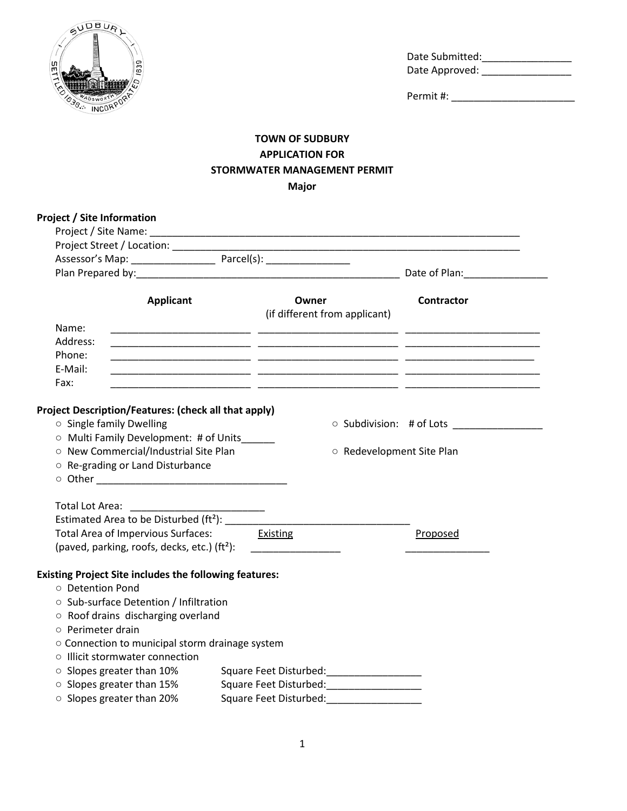

Date Submitted:\_\_\_\_\_\_\_\_\_\_\_\_\_\_\_\_ Date Approved: \_\_\_\_\_\_\_\_\_\_\_\_\_\_\_\_

Permit #: \_\_\_\_\_\_\_\_\_\_\_\_\_\_\_\_\_\_\_\_\_\_

## **TOWN OF SUDBURY APPLICATION FOR STORMWATER MANAGEMENT PERMIT Major**

| <b>Applicant</b><br>Owner<br><b>Contractor</b><br>(if different from applicant)<br>Name:<br>Address:<br>Phone:<br>E-Mail:<br>Fax:<br>Project Description/Features: (check all that apply)<br>○ Single family Dwelling<br>O Subdivision: # of Lots _______________<br>O Multi Family Development: # of Units_____<br>O New Commercial/Industrial Site Plan<br>○ Redevelopment Site Plan<br>O Re-grading or Land Disturbance<br>Total Lot Area:<br>Estimated Area to be Disturbed (ft <sup>2</sup> ): ______<br>Total Area of Impervious Surfaces: Existing<br>Proposed<br>(paved, parking, roofs, decks, etc.) $(tf2)$ : _________________<br><b>Existing Project Site includes the following features:</b><br>O Detention Pond<br>○ Sub-surface Detention / Infiltration<br>○ Roof drains discharging overland<br>$\circ$ Perimeter drain<br>O Connection to municipal storm drainage system<br>○ Illicit stormwater connection<br>○ Slopes greater than 10%<br>Square Feet Disturbed: _____________________<br>○ Slopes greater than 15%<br>Square Feet Disturbed: ____________________ | <b>Project / Site Information</b> |                                           |
|------------------------------------------------------------------------------------------------------------------------------------------------------------------------------------------------------------------------------------------------------------------------------------------------------------------------------------------------------------------------------------------------------------------------------------------------------------------------------------------------------------------------------------------------------------------------------------------------------------------------------------------------------------------------------------------------------------------------------------------------------------------------------------------------------------------------------------------------------------------------------------------------------------------------------------------------------------------------------------------------------------------------------------------------------------------------------------------|-----------------------------------|-------------------------------------------|
|                                                                                                                                                                                                                                                                                                                                                                                                                                                                                                                                                                                                                                                                                                                                                                                                                                                                                                                                                                                                                                                                                          |                                   |                                           |
|                                                                                                                                                                                                                                                                                                                                                                                                                                                                                                                                                                                                                                                                                                                                                                                                                                                                                                                                                                                                                                                                                          |                                   |                                           |
|                                                                                                                                                                                                                                                                                                                                                                                                                                                                                                                                                                                                                                                                                                                                                                                                                                                                                                                                                                                                                                                                                          |                                   |                                           |
|                                                                                                                                                                                                                                                                                                                                                                                                                                                                                                                                                                                                                                                                                                                                                                                                                                                                                                                                                                                                                                                                                          |                                   | Date of Plan: National Planets of Planets |
|                                                                                                                                                                                                                                                                                                                                                                                                                                                                                                                                                                                                                                                                                                                                                                                                                                                                                                                                                                                                                                                                                          |                                   |                                           |
|                                                                                                                                                                                                                                                                                                                                                                                                                                                                                                                                                                                                                                                                                                                                                                                                                                                                                                                                                                                                                                                                                          |                                   |                                           |
|                                                                                                                                                                                                                                                                                                                                                                                                                                                                                                                                                                                                                                                                                                                                                                                                                                                                                                                                                                                                                                                                                          |                                   |                                           |
|                                                                                                                                                                                                                                                                                                                                                                                                                                                                                                                                                                                                                                                                                                                                                                                                                                                                                                                                                                                                                                                                                          |                                   |                                           |
|                                                                                                                                                                                                                                                                                                                                                                                                                                                                                                                                                                                                                                                                                                                                                                                                                                                                                                                                                                                                                                                                                          |                                   |                                           |
|                                                                                                                                                                                                                                                                                                                                                                                                                                                                                                                                                                                                                                                                                                                                                                                                                                                                                                                                                                                                                                                                                          |                                   |                                           |
|                                                                                                                                                                                                                                                                                                                                                                                                                                                                                                                                                                                                                                                                                                                                                                                                                                                                                                                                                                                                                                                                                          |                                   |                                           |
|                                                                                                                                                                                                                                                                                                                                                                                                                                                                                                                                                                                                                                                                                                                                                                                                                                                                                                                                                                                                                                                                                          |                                   |                                           |
|                                                                                                                                                                                                                                                                                                                                                                                                                                                                                                                                                                                                                                                                                                                                                                                                                                                                                                                                                                                                                                                                                          |                                   |                                           |
|                                                                                                                                                                                                                                                                                                                                                                                                                                                                                                                                                                                                                                                                                                                                                                                                                                                                                                                                                                                                                                                                                          |                                   |                                           |
|                                                                                                                                                                                                                                                                                                                                                                                                                                                                                                                                                                                                                                                                                                                                                                                                                                                                                                                                                                                                                                                                                          |                                   |                                           |
|                                                                                                                                                                                                                                                                                                                                                                                                                                                                                                                                                                                                                                                                                                                                                                                                                                                                                                                                                                                                                                                                                          |                                   |                                           |
|                                                                                                                                                                                                                                                                                                                                                                                                                                                                                                                                                                                                                                                                                                                                                                                                                                                                                                                                                                                                                                                                                          |                                   |                                           |
|                                                                                                                                                                                                                                                                                                                                                                                                                                                                                                                                                                                                                                                                                                                                                                                                                                                                                                                                                                                                                                                                                          |                                   |                                           |
|                                                                                                                                                                                                                                                                                                                                                                                                                                                                                                                                                                                                                                                                                                                                                                                                                                                                                                                                                                                                                                                                                          |                                   |                                           |
|                                                                                                                                                                                                                                                                                                                                                                                                                                                                                                                                                                                                                                                                                                                                                                                                                                                                                                                                                                                                                                                                                          | ○ Slopes greater than 20%         |                                           |